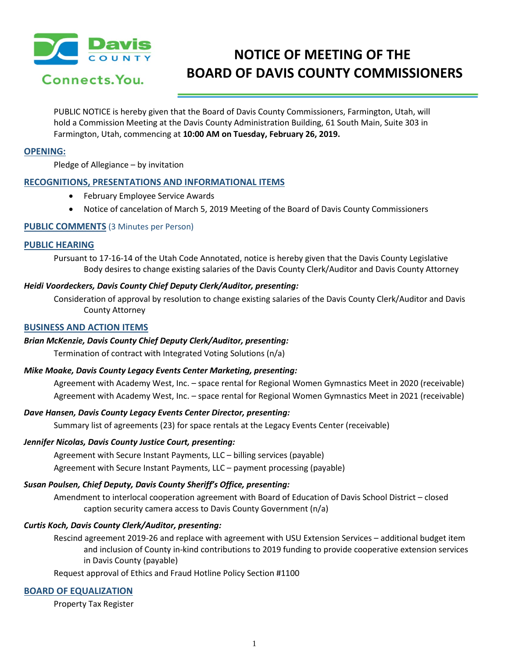

# **NOTICE OF MEETING OF THE BOARD OF DAVIS COUNTY COMMISSIONERS**

PUBLIC NOTICE is hereby given that the Board of Davis County Commissioners, Farmington, Utah, will hold a Commission Meeting at the Davis County Administration Building, 61 South Main, Suite 303 in Farmington, Utah, commencing at **10:00 AM on Tuesday, February 26, 2019.**

#### **OPENING:**

Pledge of Allegiance – by invitation

# **RECOGNITIONS, PRESENTATIONS AND INFORMATIONAL ITEMS**

- February Employee Service Awards
- Notice of cancelation of March 5, 2019 Meeting of the Board of Davis County Commissioners

#### **PUBLIC COMMENTS** (3 Minutes per Person)

#### **PUBLIC HEARING**

Pursuant to 17-16-14 of the Utah Code Annotated, notice is hereby given that the Davis County Legislative Body desires to change existing salaries of the Davis County Clerk/Auditor and Davis County Attorney

#### *Heidi Voordeckers, Davis County Chief Deputy Clerk/Auditor, presenting:*

Consideration of approval by resolution to change existing salaries of the Davis County Clerk/Auditor and Davis County Attorney

#### **BUSINESS AND ACTION ITEMS**

# *Brian McKenzie, Davis County Chief Deputy Clerk/Auditor, presenting:*

Termination of contract with Integrated Voting Solutions (n/a)

#### *Mike Moake, Davis County Legacy Events Center Marketing, presenting:*

Agreement with Academy West, Inc. - space rental for Regional Women Gymnastics Meet in 2020 (receivable) Agreement with Academy West, Inc. – space rental for Regional Women Gymnastics Meet in 2021 (receivable)

# *Dave Hansen, Davis County Legacy Events Center Director, presenting:*

Summary list of agreements (23) for space rentals at the Legacy Events Center (receivable)

#### *Jennifer Nicolas, Davis County Justice Court, presenting:*

Agreement with Secure Instant Payments, LLC – billing services (payable) Agreement with Secure Instant Payments, LLC – payment processing (payable)

# *Susan Poulsen, Chief Deputy, Davis County Sheriff's Office, presenting:*

Amendment to interlocal cooperation agreement with Board of Education of Davis School District – closed caption security camera access to Davis County Government (n/a)

# *Curtis Koch, Davis County Clerk/Auditor, presenting:*

Rescind agreement 2019-26 and replace with agreement with USU Extension Services – additional budget item and inclusion of County in-kind contributions to 2019 funding to provide cooperative extension services in Davis County (payable)

Request approval of Ethics and Fraud Hotline Policy Section #1100

# **BOARD OF EQUALIZATION**

Property Tax Register